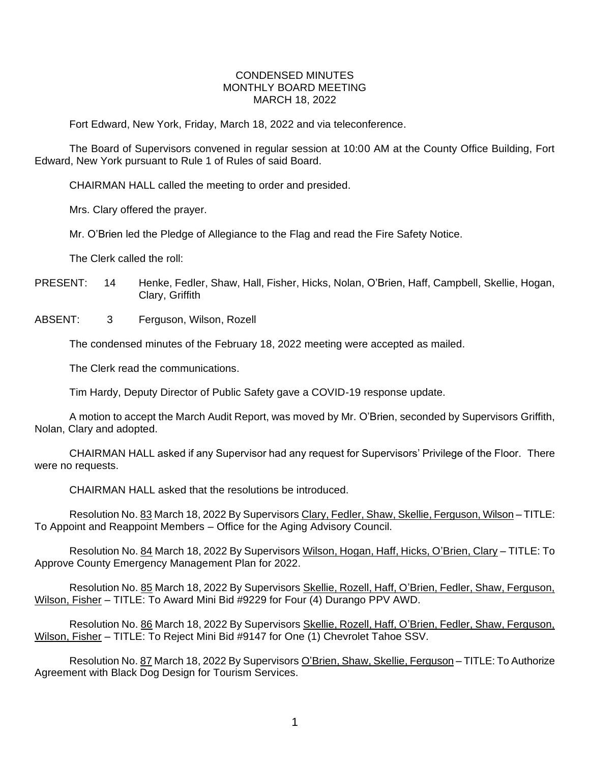## CONDENSED MINUTES MONTHLY BOARD MEETING MARCH 18, 2022

Fort Edward, New York, Friday, March 18, 2022 and via teleconference.

The Board of Supervisors convened in regular session at 10:00 AM at the County Office Building, Fort Edward, New York pursuant to Rule 1 of Rules of said Board.

CHAIRMAN HALL called the meeting to order and presided.

Mrs. Clary offered the prayer.

Mr. O'Brien led the Pledge of Allegiance to the Flag and read the Fire Safety Notice.

The Clerk called the roll:

PRESENT: 14 Henke, Fedler, Shaw, Hall, Fisher, Hicks, Nolan, O'Brien, Haff, Campbell, Skellie, Hogan, Clary, Griffith

ABSENT: 3 Ferguson, Wilson, Rozell

The condensed minutes of the February 18, 2022 meeting were accepted as mailed.

The Clerk read the communications.

Tim Hardy, Deputy Director of Public Safety gave a COVID-19 response update.

A motion to accept the March Audit Report, was moved by Mr. O'Brien, seconded by Supervisors Griffith, Nolan, Clary and adopted.

CHAIRMAN HALL asked if any Supervisor had any request for Supervisors' Privilege of the Floor. There were no requests.

CHAIRMAN HALL asked that the resolutions be introduced.

Resolution No. 83 March 18, 2022 By Supervisors Clary, Fedler, Shaw, Skellie, Ferguson, Wilson – TITLE: To Appoint and Reappoint Members – Office for the Aging Advisory Council.

Resolution No. 84 March 18, 2022 By Supervisors Wilson, Hogan, Haff, Hicks, O'Brien, Clary – TITLE: To Approve County Emergency Management Plan for 2022.

Resolution No. 85 March 18, 2022 By Supervisors Skellie, Rozell, Haff, O'Brien, Fedler, Shaw, Ferguson, Wilson, Fisher – TITLE: To Award Mini Bid #9229 for Four (4) Durango PPV AWD.

Resolution No. 86 March 18, 2022 By Supervisors Skellie, Rozell, Haff, O'Brien, Fedler, Shaw, Ferguson, Wilson, Fisher – TITLE: To Reject Mini Bid #9147 for One (1) Chevrolet Tahoe SSV.

Resolution No. 87 March 18, 2022 By Supervisors O'Brien, Shaw, Skellie, Ferguson – TITLE: To Authorize Agreement with Black Dog Design for Tourism Services.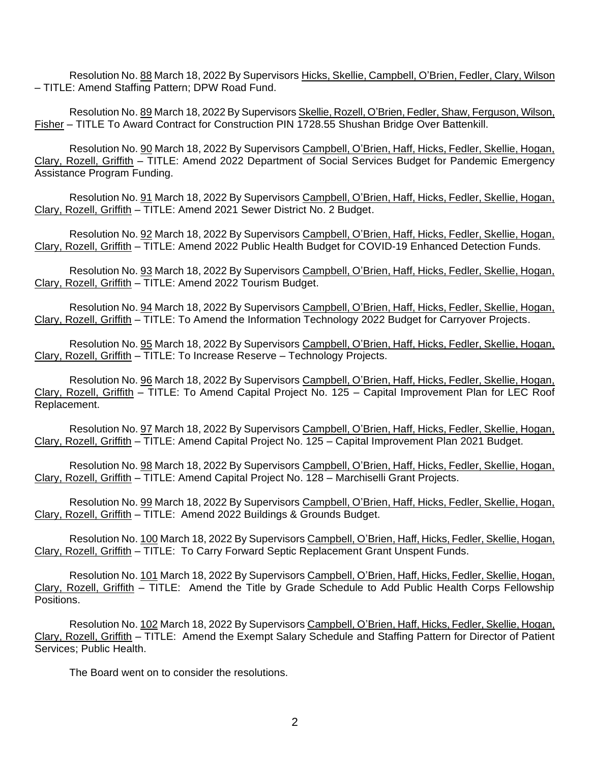Resolution No. 88 March 18, 2022 By Supervisors Hicks, Skellie, Campbell, O'Brien, Fedler, Clary, Wilson – TITLE: Amend Staffing Pattern; DPW Road Fund.

Resolution No. 89 March 18, 2022 By Supervisors Skellie, Rozell, O'Brien, Fedler, Shaw, Ferguson, Wilson, Fisher – TITLE To Award Contract for Construction PIN 1728.55 Shushan Bridge Over Battenkill.

Resolution No. 90 March 18, 2022 By Supervisors Campbell, O'Brien, Haff, Hicks, Fedler, Skellie, Hogan, Clary, Rozell, Griffith – TITLE: Amend 2022 Department of Social Services Budget for Pandemic Emergency Assistance Program Funding.

Resolution No. 91 March 18, 2022 By Supervisors Campbell, O'Brien, Haff, Hicks, Fedler, Skellie, Hogan, Clary, Rozell, Griffith – TITLE: Amend 2021 Sewer District No. 2 Budget.

Resolution No. 92 March 18, 2022 By Supervisors Campbell, O'Brien, Haff, Hicks, Fedler, Skellie, Hogan, Clary, Rozell, Griffith – TITLE: Amend 2022 Public Health Budget for COVID-19 Enhanced Detection Funds.

Resolution No. 93 March 18, 2022 By Supervisors Campbell, O'Brien, Haff, Hicks, Fedler, Skellie, Hogan, Clary, Rozell, Griffith – TITLE: Amend 2022 Tourism Budget.

Resolution No. 94 March 18, 2022 By Supervisors Campbell, O'Brien, Haff, Hicks, Fedler, Skellie, Hogan, Clary, Rozell, Griffith – TITLE: To Amend the Information Technology 2022 Budget for Carryover Projects.

Resolution No. 95 March 18, 2022 By Supervisors Campbell, O'Brien, Haff, Hicks, Fedler, Skellie, Hogan, Clary, Rozell, Griffith – TITLE: To Increase Reserve – Technology Projects.

Resolution No. 96 March 18, 2022 By Supervisors Campbell, O'Brien, Haff, Hicks, Fedler, Skellie, Hogan, Clary, Rozell, Griffith – TITLE: To Amend Capital Project No. 125 – Capital Improvement Plan for LEC Roof Replacement.

Resolution No. 97 March 18, 2022 By Supervisors Campbell, O'Brien, Haff, Hicks, Fedler, Skellie, Hogan, Clary, Rozell, Griffith – TITLE: Amend Capital Project No. 125 – Capital Improvement Plan 2021 Budget.

Resolution No. 98 March 18, 2022 By Supervisors Campbell, O'Brien, Haff, Hicks, Fedler, Skellie, Hogan, Clary, Rozell, Griffith – TITLE: Amend Capital Project No. 128 – Marchiselli Grant Projects.

Resolution No. 99 March 18, 2022 By Supervisors Campbell, O'Brien, Haff, Hicks, Fedler, Skellie, Hogan, Clary, Rozell, Griffith – TITLE: Amend 2022 Buildings & Grounds Budget.

Resolution No. 100 March 18, 2022 By Supervisors Campbell, O'Brien, Haff, Hicks, Fedler, Skellie, Hogan, Clary, Rozell, Griffith – TITLE: To Carry Forward Septic Replacement Grant Unspent Funds.

Resolution No. 101 March 18, 2022 By Supervisors Campbell, O'Brien, Haff, Hicks, Fedler, Skellie, Hogan, Clary, Rozell, Griffith – TITLE: Amend the Title by Grade Schedule to Add Public Health Corps Fellowship Positions.

Resolution No. 102 March 18, 2022 By Supervisors Campbell, O'Brien, Haff, Hicks, Fedler, Skellie, Hogan, Clary, Rozell, Griffith – TITLE: Amend the Exempt Salary Schedule and Staffing Pattern for Director of Patient Services; Public Health.

The Board went on to consider the resolutions.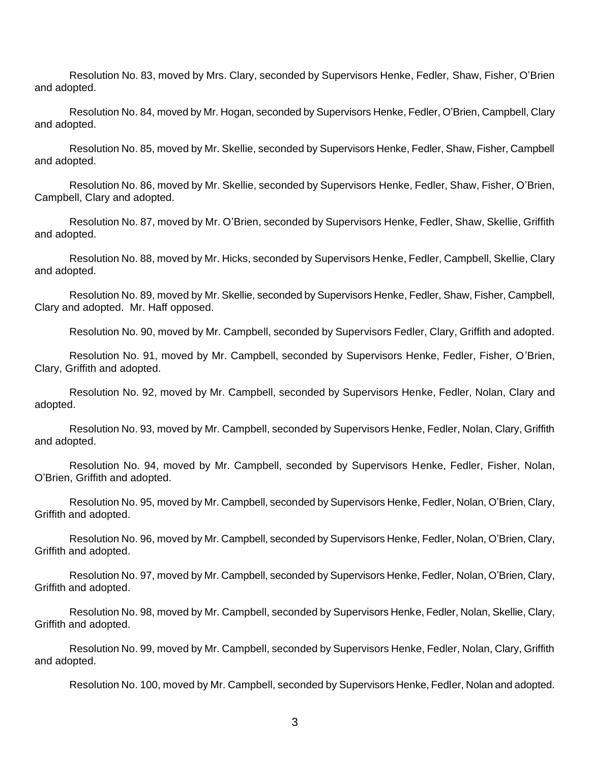Resolution No. 83, moved by Mrs. Clary, seconded by Supervisors Henke, Fedler, Shaw, Fisher, O'Brien and adopted.

Resolution No. 84, moved by Mr. Hogan, seconded by Supervisors Henke, Fedler, O'Brien, Campbell, Clary and adopted.

Resolution No. 85, moved by Mr. Skellie, seconded by Supervisors Henke, Fedler, Shaw, Fisher, Campbell and adopted.

Resolution No. 86, moved by Mr. Skellie, seconded by Supervisors Henke, Fedler, Shaw, Fisher, O'Brien, Campbell, Clary and adopted.

Resolution No. 87, moved by Mr. O'Brien, seconded by Supervisors Henke, Fedler, Shaw, Skellie, Griffith and adopted.

Resolution No. 88, moved by Mr. Hicks, seconded by Supervisors Henke, Fedler, Campbell, Skellie, Clary and adopted.

Resolution No. 89, moved by Mr. Skellie, seconded by Supervisors Henke, Fedler, Shaw, Fisher, Campbell, Clary and adopted. Mr. Haff opposed.

Resolution No. 90, moved by Mr. Campbell, seconded by Supervisors Fedler, Clary, Griffith and adopted.

Resolution No. 91, moved by Mr. Campbell, seconded by Supervisors Henke, Fedler, Fisher, O'Brien, Clary, Griffith and adopted.

Resolution No. 92, moved by Mr. Campbell, seconded by Supervisors Henke, Fedler, Nolan, Clary and adopted.

Resolution No. 93, moved by Mr. Campbell, seconded by Supervisors Henke, Fedler, Nolan, Clary, Griffith and adopted.

Resolution No. 94, moved by Mr. Campbell, seconded by Supervisors Henke, Fedler, Fisher, Nolan, O'Brien, Griffith and adopted.

Resolution No. 95, moved by Mr. Campbell, seconded by Supervisors Henke, Fedler, Nolan, O'Brien, Clary, Griffith and adopted.

Resolution No. 96, moved by Mr. Campbell, seconded by Supervisors Henke, Fedler, Nolan, O'Brien, Clary, Griffith and adopted.

Resolution No. 97, moved by Mr. Campbell, seconded by Supervisors Henke, Fedler, Nolan, O'Brien, Clary, Griffith and adopted.

Resolution No. 98, moved by Mr. Campbell, seconded by Supervisors Henke, Fedler, Nolan, Skellie, Clary, Griffith and adopted.

Resolution No. 99, moved by Mr. Campbell, seconded by Supervisors Henke, Fedler, Nolan, Clary, Griffith and adopted.

Resolution No. 100, moved by Mr. Campbell, seconded by Supervisors Henke, Fedler, Nolan and adopted.